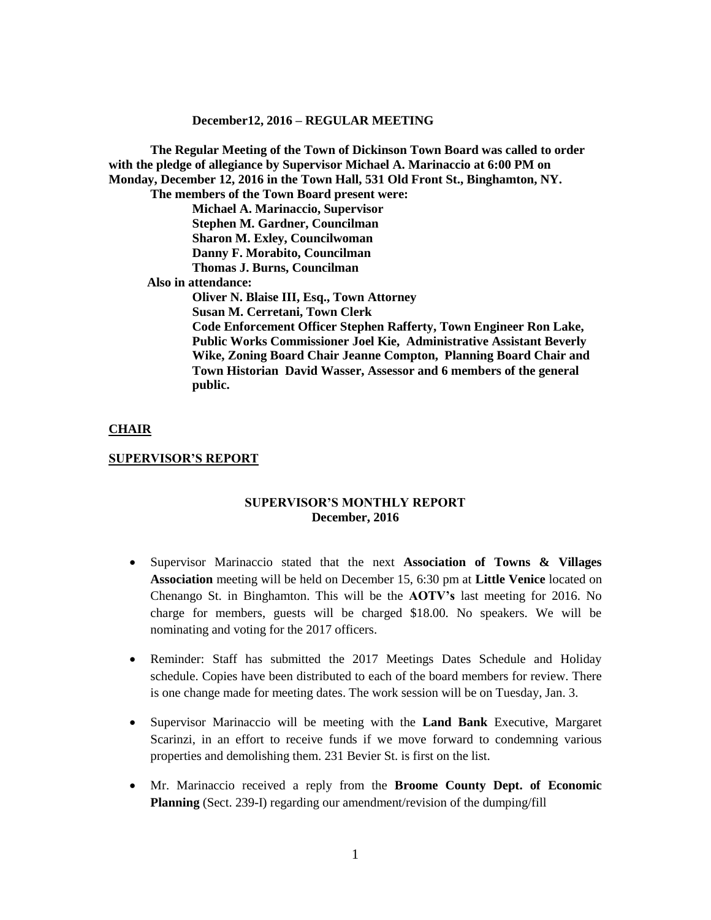**The Regular Meeting of the Town of Dickinson Town Board was called to order with the pledge of allegiance by Supervisor Michael A. Marinaccio at 6:00 PM on Monday, December 12, 2016 in the Town Hall, 531 Old Front St., Binghamton, NY. The members of the Town Board present were: Michael A. Marinaccio, Supervisor Stephen M. Gardner, Councilman Sharon M. Exley, Councilwoman Danny F. Morabito, Councilman Thomas J. Burns, Councilman Also in attendance: Oliver N. Blaise III, Esq., Town Attorney Susan M. Cerretani, Town Clerk Code Enforcement Officer Stephen Rafferty, Town Engineer Ron Lake, Public Works Commissioner Joel Kie, Administrative Assistant Beverly Wike, Zoning Board Chair Jeanne Compton, Planning Board Chair and Town Historian David Wasser, Assessor and 6 members of the general public.**

#### **CHAIR**

#### **SUPERVISOR'S REPORT**

### **SUPERVISOR'S MONTHLY REPORT December, 2016**

- Supervisor Marinaccio stated that the next **Association of Towns & Villages Association** meeting will be held on December 15, 6:30 pm at **Little Venice** located on Chenango St. in Binghamton. This will be the **AOTV's** last meeting for 2016. No charge for members, guests will be charged \$18.00. No speakers. We will be nominating and voting for the 2017 officers.
- Reminder: Staff has submitted the 2017 Meetings Dates Schedule and Holiday schedule. Copies have been distributed to each of the board members for review. There is one change made for meeting dates. The work session will be on Tuesday, Jan. 3.
- Supervisor Marinaccio will be meeting with the **Land Bank** Executive, Margaret Scarinzi, in an effort to receive funds if we move forward to condemning various properties and demolishing them. 231 Bevier St. is first on the list.
- Mr. Marinaccio received a reply from the **Broome County Dept. of Economic Planning** (Sect. 239-I) regarding our amendment/revision of the dumping/fill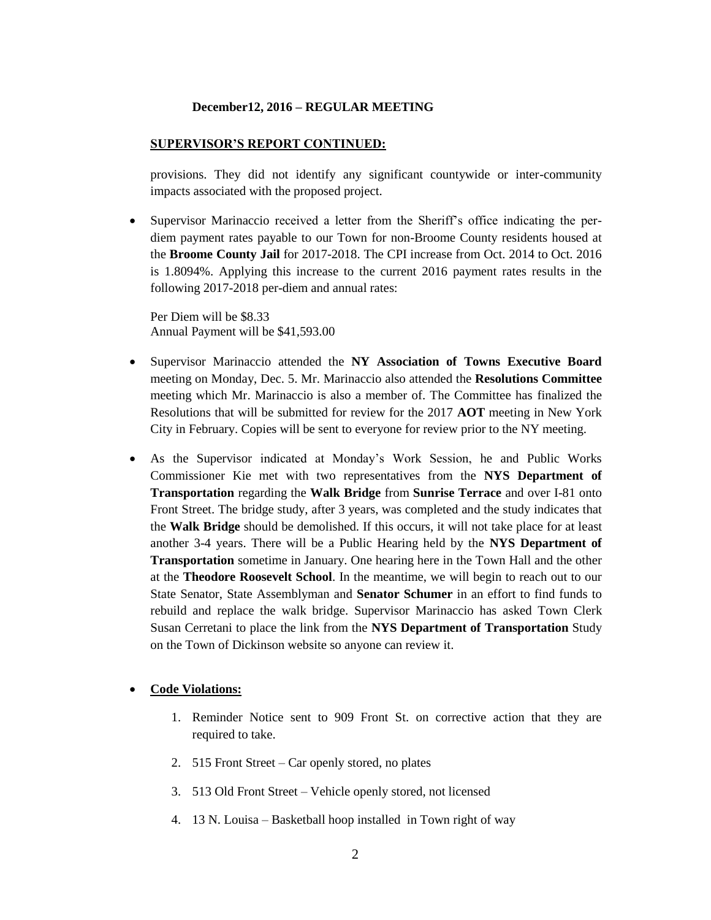#### **SUPERVISOR'S REPORT CONTINUED:**

provisions. They did not identify any significant countywide or inter-community impacts associated with the proposed project.

 Supervisor Marinaccio received a letter from the Sheriff's office indicating the perdiem payment rates payable to our Town for non-Broome County residents housed at the **Broome County Jail** for 2017-2018. The CPI increase from Oct. 2014 to Oct. 2016 is 1.8094%. Applying this increase to the current 2016 payment rates results in the following 2017-2018 per-diem and annual rates:

Per Diem will be \$8.33 Annual Payment will be \$41,593.00

- Supervisor Marinaccio attended the **NY Association of Towns Executive Board** meeting on Monday, Dec. 5. Mr. Marinaccio also attended the **Resolutions Committee** meeting which Mr. Marinaccio is also a member of. The Committee has finalized the Resolutions that will be submitted for review for the 2017 **AOT** meeting in New York City in February. Copies will be sent to everyone for review prior to the NY meeting.
- As the Supervisor indicated at Monday's Work Session, he and Public Works Commissioner Kie met with two representatives from the **NYS Department of Transportation** regarding the **Walk Bridge** from **Sunrise Terrace** and over I-81 onto Front Street. The bridge study, after 3 years, was completed and the study indicates that the **Walk Bridge** should be demolished. If this occurs, it will not take place for at least another 3-4 years. There will be a Public Hearing held by the **NYS Department of Transportation** sometime in January. One hearing here in the Town Hall and the other at the **Theodore Roosevelt School**. In the meantime, we will begin to reach out to our State Senator, State Assemblyman and **Senator Schumer** in an effort to find funds to rebuild and replace the walk bridge. Supervisor Marinaccio has asked Town Clerk Susan Cerretani to place the link from the **NYS Department of Transportation** Study on the Town of Dickinson website so anyone can review it.

### **Code Violations:**

- 1. Reminder Notice sent to 909 Front St. on corrective action that they are required to take.
- 2. 515 Front Street Car openly stored, no plates
- 3. 513 Old Front Street Vehicle openly stored, not licensed
- 4. 13 N. Louisa Basketball hoop installed in Town right of way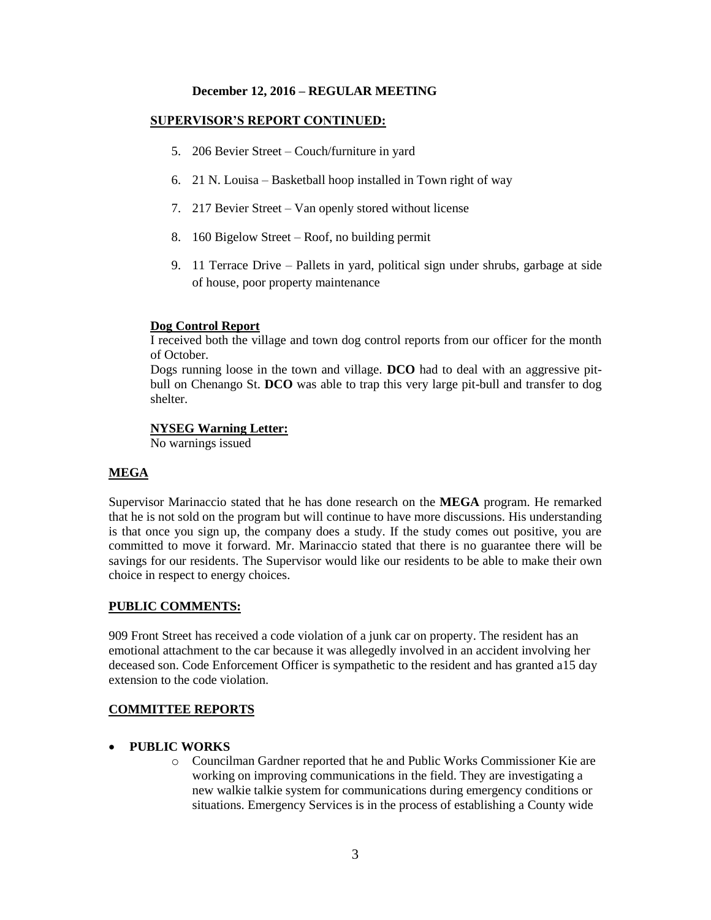### **SUPERVISOR'S REPORT CONTINUED:**

- 5. 206 Bevier Street Couch/furniture in yard
- 6. 21 N. Louisa Basketball hoop installed in Town right of way
- 7. 217 Bevier Street Van openly stored without license
- 8. 160 Bigelow Street Roof, no building permit
- 9. 11 Terrace Drive Pallets in yard, political sign under shrubs, garbage at side of house, poor property maintenance

### **Dog Control Report**

I received both the village and town dog control reports from our officer for the month of October.

Dogs running loose in the town and village. **DCO** had to deal with an aggressive pitbull on Chenango St. **DCO** was able to trap this very large pit-bull and transfer to dog shelter.

### **NYSEG Warning Letter:**

No warnings issued

## **MEGA**

Supervisor Marinaccio stated that he has done research on the **MEGA** program. He remarked that he is not sold on the program but will continue to have more discussions. His understanding is that once you sign up, the company does a study. If the study comes out positive, you are committed to move it forward. Mr. Marinaccio stated that there is no guarantee there will be savings for our residents. The Supervisor would like our residents to be able to make their own choice in respect to energy choices.

## **PUBLIC COMMENTS:**

909 Front Street has received a code violation of a junk car on property. The resident has an emotional attachment to the car because it was allegedly involved in an accident involving her deceased son. Code Enforcement Officer is sympathetic to the resident and has granted a15 day extension to the code violation.

## **COMMITTEE REPORTS**

- **PUBLIC WORKS**
	- o Councilman Gardner reported that he and Public Works Commissioner Kie are working on improving communications in the field. They are investigating a new walkie talkie system for communications during emergency conditions or situations. Emergency Services is in the process of establishing a County wide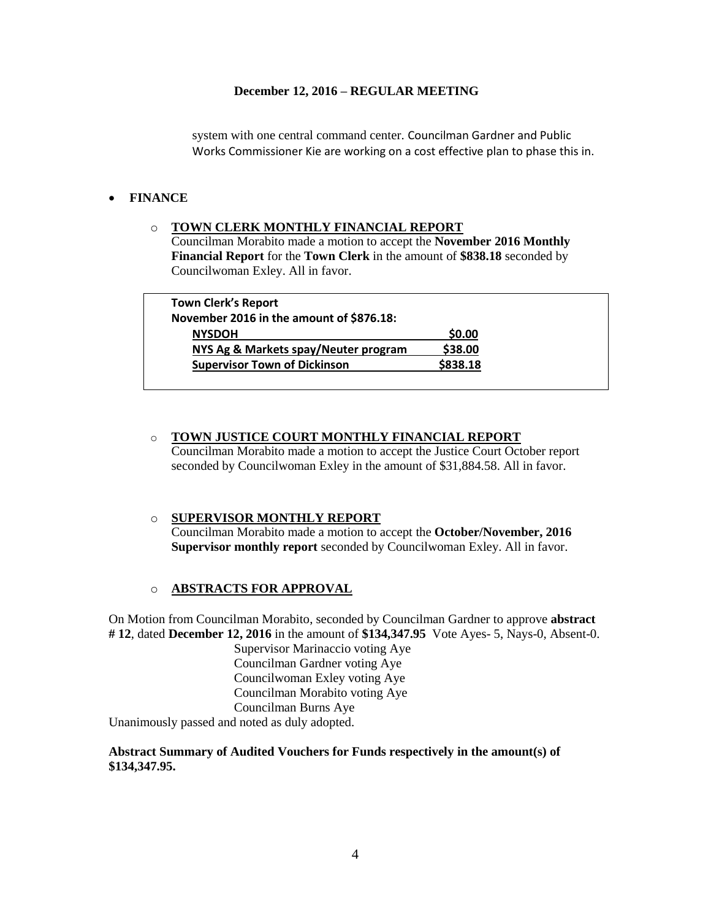system with one central command center. Councilman Gardner and Public Works Commissioner Kie are working on a cost effective plan to phase this in.

# **FINANCE**

## o **TOWN CLERK MONTHLY FINANCIAL REPORT**

Councilman Morabito made a motion to accept the **November 2016 Monthly Financial Report** for the **Town Clerk** in the amount of **\$838.18** seconded by Councilwoman Exley. All in favor.

| <b>Town Clerk's Report</b>               |          |
|------------------------------------------|----------|
| November 2016 in the amount of \$876.18: |          |
| <b>NYSDOH</b>                            | \$0.00   |
| NYS Ag & Markets spay/Neuter program     | \$38.00  |
| <b>Supervisor Town of Dickinson</b>      | \$838.18 |

# o **TOWN JUSTICE COURT MONTHLY FINANCIAL REPORT**

Councilman Morabito made a motion to accept the Justice Court October report seconded by Councilwoman Exley in the amount of \$31,884.58. All in favor.

### o **SUPERVISOR MONTHLY REPORT** Councilman Morabito made a motion to accept the **October/November, 2016 Supervisor monthly report** seconded by Councilwoman Exley. All in favor.

# o **ABSTRACTS FOR APPROVAL**

On Motion from Councilman Morabito, seconded by Councilman Gardner to approve **abstract # 12**, dated **December 12, 2016** in the amount of **\$134,347.95** Vote Ayes- 5, Nays-0, Absent-0.

Supervisor Marinaccio voting Aye Councilman Gardner voting Aye Councilwoman Exley voting Aye Councilman Morabito voting Aye Councilman Burns Aye

Unanimously passed and noted as duly adopted.

## **Abstract Summary of Audited Vouchers for Funds respectively in the amount(s) of \$134,347.95.**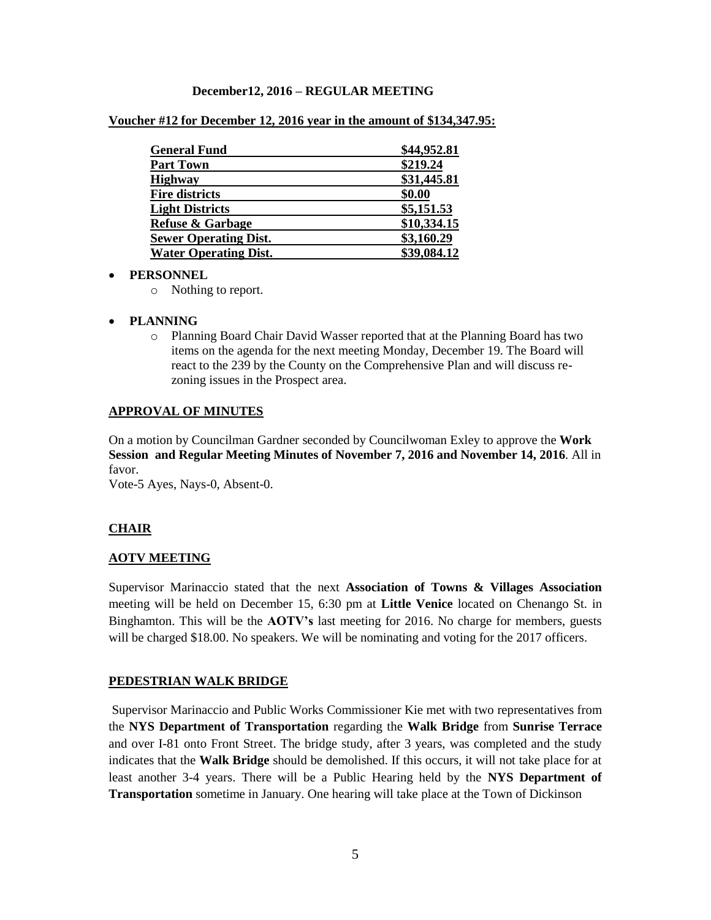|  | Voucher #12 for December 12, 2016 year in the amount of \$134,347.95: |
|--|-----------------------------------------------------------------------|
|--|-----------------------------------------------------------------------|

| <b>General Fund</b>          | \$44,952.81 |
|------------------------------|-------------|
| <b>Part Town</b>             | \$219.24    |
| <b>Highway</b>               | \$31,445.81 |
| <b>Fire districts</b>        | \$0.00      |
| <b>Light Districts</b>       | \$5,151.53  |
| <b>Refuse &amp; Garbage</b>  | \$10,334.15 |
| <b>Sewer Operating Dist.</b> | \$3,160.29  |
| <b>Water Operating Dist.</b> | \$39,084.12 |

#### **PERSONNEL**

- o Nothing to report.
- **PLANNING**
	- o Planning Board Chair David Wasser reported that at the Planning Board has two items on the agenda for the next meeting Monday, December 19. The Board will react to the 239 by the County on the Comprehensive Plan and will discuss rezoning issues in the Prospect area.

#### **APPROVAL OF MINUTES**

On a motion by Councilman Gardner seconded by Councilwoman Exley to approve the **Work Session and Regular Meeting Minutes of November 7, 2016 and November 14, 2016**. All in favor.

Vote-5 Ayes, Nays-0, Absent-0.

### **CHAIR**

#### **AOTV MEETING**

Supervisor Marinaccio stated that the next **Association of Towns & Villages Association** meeting will be held on December 15, 6:30 pm at **Little Venice** located on Chenango St. in Binghamton. This will be the **AOTV's** last meeting for 2016. No charge for members, guests will be charged \$18.00. No speakers. We will be nominating and voting for the 2017 officers.

#### **PEDESTRIAN WALK BRIDGE**

Supervisor Marinaccio and Public Works Commissioner Kie met with two representatives from the **NYS Department of Transportation** regarding the **Walk Bridge** from **Sunrise Terrace** and over I-81 onto Front Street. The bridge study, after 3 years, was completed and the study indicates that the **Walk Bridge** should be demolished. If this occurs, it will not take place for at least another 3-4 years. There will be a Public Hearing held by the **NYS Department of Transportation** sometime in January. One hearing will take place at the Town of Dickinson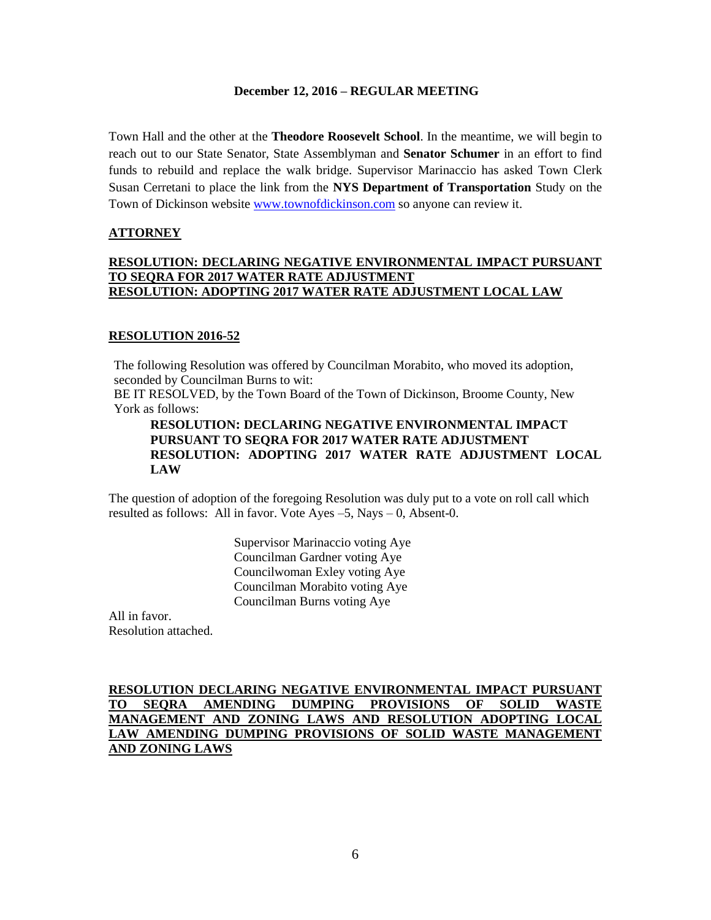Town Hall and the other at the **Theodore Roosevelt School**. In the meantime, we will begin to reach out to our State Senator, State Assemblyman and **Senator Schumer** in an effort to find funds to rebuild and replace the walk bridge. Supervisor Marinaccio has asked Town Clerk Susan Cerretani to place the link from the **NYS Department of Transportation** Study on the Town of Dickinson website [www.townofdickinson.com](http://www.townofdickinson.com/) so anyone can review it.

# **ATTORNEY**

# **RESOLUTION: DECLARING NEGATIVE ENVIRONMENTAL IMPACT PURSUANT TO SEQRA FOR 2017 WATER RATE ADJUSTMENT RESOLUTION: ADOPTING 2017 WATER RATE ADJUSTMENT LOCAL LAW**

# **RESOLUTION 2016-52**

The following Resolution was offered by Councilman Morabito, who moved its adoption, seconded by Councilman Burns to wit:

BE IT RESOLVED, by the Town Board of the Town of Dickinson, Broome County, New York as follows:

## **RESOLUTION: DECLARING NEGATIVE ENVIRONMENTAL IMPACT PURSUANT TO SEQRA FOR 2017 WATER RATE ADJUSTMENT RESOLUTION: ADOPTING 2017 WATER RATE ADJUSTMENT LOCAL LAW**

The question of adoption of the foregoing Resolution was duly put to a vote on roll call which resulted as follows: All in favor. Vote Ayes  $-5$ , Nays  $-0$ , Absent-0.

> Supervisor Marinaccio voting Aye Councilman Gardner voting Aye Councilwoman Exley voting Aye Councilman Morabito voting Aye Councilman Burns voting Aye

All in favor. Resolution attached.

## **RESOLUTION DECLARING NEGATIVE ENVIRONMENTAL IMPACT PURSUANT TO SEQRA AMENDING DUMPING PROVISIONS OF SOLID WASTE MANAGEMENT AND ZONING LAWS AND RESOLUTION ADOPTING LOCAL LAW AMENDING DUMPING PROVISIONS OF SOLID WASTE MANAGEMENT AND ZONING LAWS**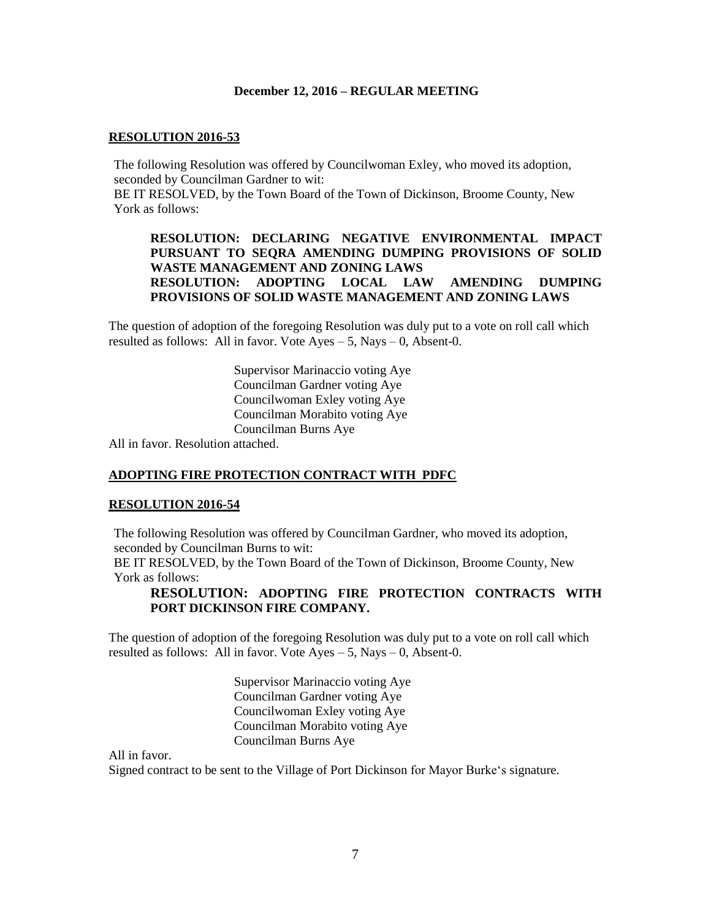### **RESOLUTION 2016-53**

The following Resolution was offered by Councilwoman Exley, who moved its adoption, seconded by Councilman Gardner to wit:

BE IT RESOLVED, by the Town Board of the Town of Dickinson, Broome County, New York as follows:

## **RESOLUTION: DECLARING NEGATIVE ENVIRONMENTAL IMPACT PURSUANT TO SEQRA AMENDING DUMPING PROVISIONS OF SOLID WASTE MANAGEMENT AND ZONING LAWS RESOLUTION: ADOPTING LOCAL LAW AMENDING DUMPING PROVISIONS OF SOLID WASTE MANAGEMENT AND ZONING LAWS**

The question of adoption of the foregoing Resolution was duly put to a vote on roll call which resulted as follows: All in favor. Vote  $A$ yes  $-5$ , Nays  $-0$ , Absent-0.

> Supervisor Marinaccio voting Aye Councilman Gardner voting Aye Councilwoman Exley voting Aye Councilman Morabito voting Aye Councilman Burns Aye

All in favor. Resolution attached.

### **ADOPTING FIRE PROTECTION CONTRACT WITH PDFC**

### **RESOLUTION 2016-54**

The following Resolution was offered by Councilman Gardner, who moved its adoption, seconded by Councilman Burns to wit:

BE IT RESOLVED, by the Town Board of the Town of Dickinson, Broome County, New York as follows:

## **RESOLUTION: ADOPTING FIRE PROTECTION CONTRACTS WITH PORT DICKINSON FIRE COMPANY.**

The question of adoption of the foregoing Resolution was duly put to a vote on roll call which resulted as follows: All in favor. Vote  $Ayes - 5$ , Nays  $- 0$ , Absent-0.

> Supervisor Marinaccio voting Aye Councilman Gardner voting Aye Councilwoman Exley voting Aye Councilman Morabito voting Aye Councilman Burns Aye

All in favor.

Signed contract to be sent to the Village of Port Dickinson for Mayor Burke's signature.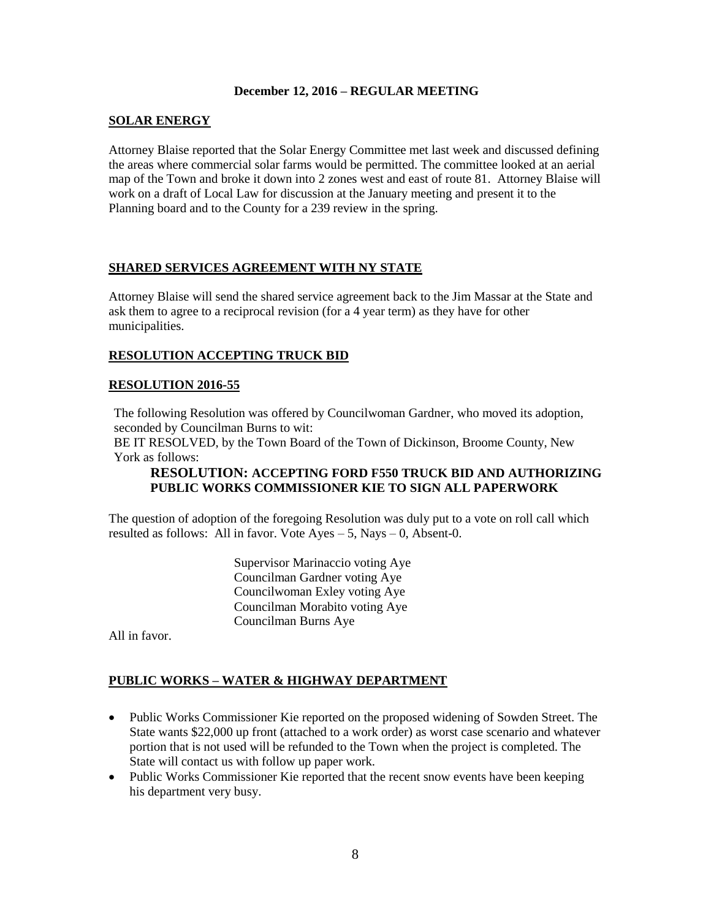### **SOLAR ENERGY**

Attorney Blaise reported that the Solar Energy Committee met last week and discussed defining the areas where commercial solar farms would be permitted. The committee looked at an aerial map of the Town and broke it down into 2 zones west and east of route 81. Attorney Blaise will work on a draft of Local Law for discussion at the January meeting and present it to the Planning board and to the County for a 239 review in the spring.

## **SHARED SERVICES AGREEMENT WITH NY STATE**

Attorney Blaise will send the shared service agreement back to the Jim Massar at the State and ask them to agree to a reciprocal revision (for a 4 year term) as they have for other municipalities.

# **RESOLUTION ACCEPTING TRUCK BID**

### **RESOLUTION 2016-55**

The following Resolution was offered by Councilwoman Gardner, who moved its adoption, seconded by Councilman Burns to wit:

BE IT RESOLVED, by the Town Board of the Town of Dickinson, Broome County, New York as follows:

## **RESOLUTION: ACCEPTING FORD F550 TRUCK BID AND AUTHORIZING PUBLIC WORKS COMMISSIONER KIE TO SIGN ALL PAPERWORK**

The question of adoption of the foregoing Resolution was duly put to a vote on roll call which resulted as follows: All in favor. Vote  $Ayes - 5$ , Nays  $- 0$ , Absent-0.

> Supervisor Marinaccio voting Aye Councilman Gardner voting Aye Councilwoman Exley voting Aye Councilman Morabito voting Aye Councilman Burns Aye

All in favor.

# **PUBLIC WORKS – WATER & HIGHWAY DEPARTMENT**

- Public Works Commissioner Kie reported on the proposed widening of Sowden Street. The State wants \$22,000 up front (attached to a work order) as worst case scenario and whatever portion that is not used will be refunded to the Town when the project is completed. The State will contact us with follow up paper work.
- Public Works Commissioner Kie reported that the recent snow events have been keeping his department very busy.